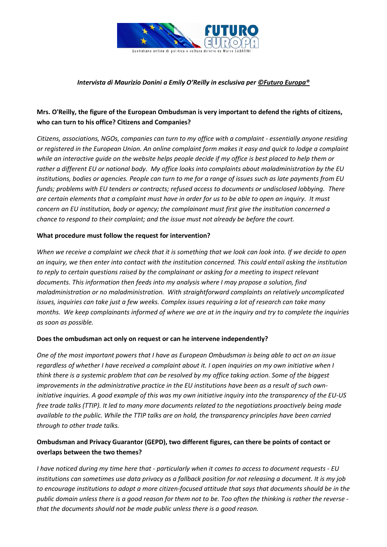

#### *Intervista di Maurizio Donini a Emily O'Reilly in esclusiva pe[r ©Futuro Europa®](http://www.futuro-europa.it/pubblicita)*

## **Mrs. O'Reilly, the figure of the European Ombudsman is very important to defend the rights of citizens, who can turn to his office? Citizens and Companies?**

*Citizens, associations, NGOs, companies can turn to my office with a complaint - essentially anyone residing or registered in the European Union. An online complaint form makes it easy and quick to lodge a complaint while an interactive guide on the website helps people decide if my office is best placed to help them or rather a different EU or national body. My office looks into complaints about maladministration by the EU institutions, bodies or agencies. People can turn to me for a range of issues such as late payments from EU funds; problems with EU tenders or contracts; refused access to documents or undisclosed lobbying. There are certain elements that a complaint must have in order for us to be able to open an inquiry. It must concern an EU institution, body or agency; the complainant must first give the institution concerned a chance to respond to their complaint; and the issue must not already be before the court.*

#### **What procedure must follow the request for intervention?**

*When we receive a complaint we check that it is something that we look can look into. If we decide to open an inquiry, we then enter into contact with the institution concerned. This could entail asking the institution to reply to certain questions raised by the complainant or asking for a meeting to inspect relevant documents. This information then feeds into my analysis where I may propose a solution, find maladministration or no maladministration. With straightforward complaints on relatively uncomplicated issues, inquiries can take just a few weeks. Complex issues requiring a lot of research can take many months. We keep complainants informed of where we are at in the inquiry and try to complete the inquiries as soon as possible.*

#### **Does the ombudsman act only on request or can he intervene independently?**

*One of the most important powers that I have as European Ombudsman is being able to act on an issue regardless of whether I have received a complaint about it. I open inquiries on my own initiative when I think there is a systemic problem that can be resolved by my office taking action. Some of the biggest improvements in the administrative practice in the EU institutions have been as a result of such owninitiative inquiries. A good example of this was my own initiative inquiry into the transparency of the EU-US free trade talks (TTIP). It led to many more documents related to the negotiations proactively being made available to the public. While the TTIP talks are on hold, the transparency principles have been carried through to other trade talks.*

#### **Ombudsman and Privacy Guarantor (GEPD), two different figures, can there be points of contact or overlaps between the two themes?**

*I have noticed during my time here that - particularly when it comes to access to document requests - EU institutions can sometimes use data privacy as a fallback position for not releasing a document. It is my job to encourage institutions to adopt a more citizen-focused attitude that says that documents should be in the public domain unless there is a good reason for them not to be. Too often the thinking is rather the reverse that the documents should not be made public unless there is a good reason.*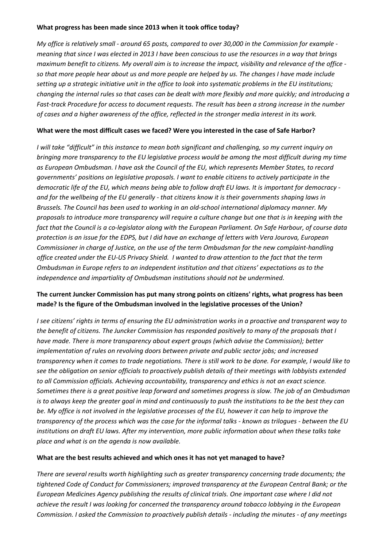#### **What progress has been made since 2013 when it took office today?**

*My office is relatively small - around 65 posts, compared to over 30,000 in the Commission for example meaning that since I was elected in 2013 I have been conscious to use the resources in a way that brings maximum benefit to citizens. My overall aim is to increase the impact, visibility and relevance of the office so that more people hear about us and more people are helped by us. The changes I have made include setting up a strategic initiative unit in the office to look into systematic problems in the EU institutions; changing the internal rules so that cases can be dealt with more flexibly and more quickly; and introducing a Fast-track Procedure for access to document requests. The result has been a strong increase in the number of cases and a higher awareness of the office, reflected in the stronger media interest in its work.*

#### **What were the most difficult cases we faced? Were you interested in the case of Safe Harbor?**

*I will take "difficult" in this instance to mean both significant and challenging, so my current inquiry on bringing more transparency to the EU legislative process would be among the most difficult during my time as European Ombudsman. I have ask the Council of the EU, which represents Member States, to record governments' positions on legislative proposals. I want to enable citizens to actively participate in the democratic life of the EU, which means being able to follow draft EU laws. It is important for democracy and for the wellbeing of the EU generally - that citizens know it is their governments shaping laws in Brussels. The Council has been used to working in an old-school international diplomacy manner. My proposals to introduce more transparency will require a culture change but one that is in keeping with the fact that the Council is a co-legislator along with the European Parliament. On Safe Harbour, of course data protection is an issue for the EDPS, but I did have an exchange of letters with Vera Jourova, European Commissioner in charge of Justice, on the use of the term Ombudsman for the new complaint-handling office created under the EU-US Privacy Shield. I wanted to draw attention to the fact that the term Ombudsman in Europe refers to an independent institution and that citizens' expectations as to the independence and impartiality of Ombudsman institutions should not be undermined.*

## **The current Juncker Commission has put many strong points on citizens' rights, what progress has been made? Is the figure of the Ombudsman involved in the legislative processes of the Union?**

*I see citizens' rights in terms of ensuring the EU administration works in a proactive and transparent way to the benefit of citizens. The Juncker Commission has responded positively to many of the proposals that I have made. There is more transparency about expert groups (which advise the Commission); better implementation of rules on revolving doors between private and public sector jobs; and increased transparency when it comes to trade negotiations. There is still work to be done. For example, I would like to see the obligation on senior officials to proactively publish details of their meetings with lobbyists extended to all Commission officials. Achieving accountability, transparency and ethics is not an exact science. Sometimes there is a great positive leap forward and sometimes progress is slow. The job of an Ombudsman is to always keep the greater goal in mind and continuously to push the institutions to be the best they can be. My office is not involved in the legislative processes of the EU, however it can help to improve the transparency of the process which was the case for the informal talks - known as trilogues - between the EU institutions on draft EU laws. After my intervention, more public information about when these talks take place and what is on the agenda is now available.*

#### **What are the best results achieved and which ones it has not yet managed to have?**

*There are several results worth highlighting such as greater transparency concerning trade documents; the tightened Code of Conduct for Commissioners; improved transparency at the European Central Bank; or the European Medicines Agency publishing the results of clinical trials. One important case where I did not achieve the result I was looking for concerned the transparency around tobacco lobbying in the European Commission. I asked the Commission to proactively publish details - including the minutes - of any meetings*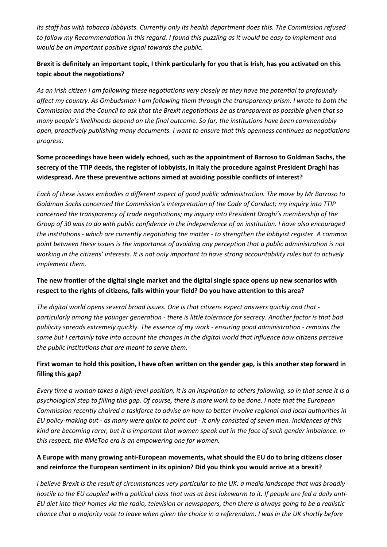*its staff has with tobacco lobbyists. Currently only its health department does this. The Commission refused to follow my Recommendation in this regard. I found this puzzling as it would be easy to implement and would be an important positive signal towards the public.*

## **Brexit is definitely an important topic, I think particularly for you that is Irish, has you activated on this topic about the negotiations?**

*As an Irish citizen I am following these negotiations very closely as they have the potential to profoundly affect my country. As Ombudsman I am following them through the transparency prism. I wrote to both the Commission and the Council to ask that the Brexit negotiations be as transparent as possible given that so many people's livelihoods depend on the final outcome. So far, the institutions have been commendably open, proactively publishing many documents. I want to ensure that this openness continues as negotiations progress.* 

## **Some proceedings have been widely echoed, such as the appointment of Barroso to Goldman Sachs, the secrecy of the TTIP deeds, the register of lobbyists, in Italy the procedure against President Draghi has widespread. Are these preventive actions aimed at avoiding possible conflicts of interest?**

*Each of these issues embodies a different aspect of good public administration. The move by Mr Barroso to Goldman Sachs concerned the Commission's interpretation of the Code of Conduct; my inquiry into TTIP concerned the transparency of trade negotiations; my inquiry into President Draghi's membership of the Group of 30 was to do with public confidence in the independence of an institution. I have also encouraged the institutions - which are currently negotiating the matter - to strengthen the lobbyist register. A common point between these issues is the importance of avoiding any perception that a public administration is not working in the citizens' interests. It is not only important to have strong accountability rules but to actively implement them.*

## **The new frontier of the digital single market and the digital single space opens up new scenarios with respect to the rights of citizens, falls within your field? Do you have attention to this area?**

*The digital world opens several broad issues. One is that citizens expect answers quickly and that particularly among the younger generation - there is little tolerance for secrecy. Another factor is that bad publicity spreads extremely quickly. The essence of my work - ensuring good administration - remains the same but I certainly take into account the changes in the digital world that influence how citizens perceive the public institutions that are meant to serve them.*

# **First woman to hold this position, I have often written on the gender gap, is this another step forward in filling this gap?**

*Every time a woman takes a high-level position, it is an inspiration to others following, so in that sense it is a psychological step to filling this gap. Of course, there is more work to be done. I note that the European Commission recently chaired a taskforce to advise on how to better involve regional and local authorities in EU policy-making but - as many were quick to point out - it only consisted of seven men. Incidences of this kind are becoming rarer, but it is important that women speak out in the face of such gender imbalance. In this respect, the #MeToo era is an empowering one for women.*

## **A Europe with many growing anti-European movements, what should the EU do to bring citizens closer and reinforce the European sentiment in its opinion? Did you think you would arrive at a brexit?**

*I believe Brexit is the result of circumstances very particular to the UK: a media landscape that was broadly hostile to the EU coupled with a political class that was at best lukewarm to it. If people are fed a daily anti-EU diet into their homes via the radio, television or newspapers, then there is always going to be a realistic chance that a majority vote to leave when given the choice in a referendum. I was in the UK shortly before*